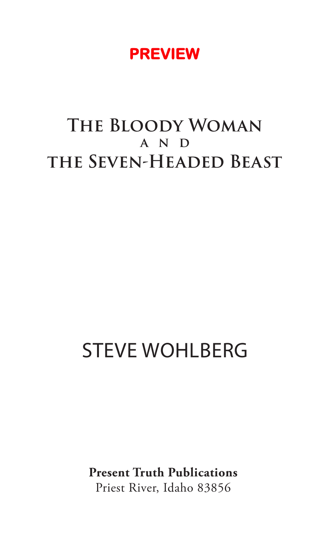## **PREVIEW**

# **The Bloody Woman A N D the Seven-Headed Beast**

# STEVE WOHLBERG

**Present Truth Publications** Priest River, Idaho 83856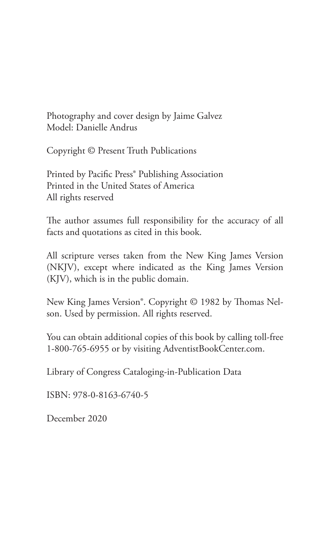Photography and cover design by Jaime Galvez Model: Danielle Andrus

Copyright © Present Truth Publications

Printed by Pacific Press® Publishing Association Printed in the United States of America All rights reserved

The author assumes full responsibility for the accuracy of all facts and quotations as cited in this book.

All scripture verses taken from the New King James Version (NKJV), except where indicated as the King James Version (KJV), which is in the public domain.

New King James Version®. Copyright © 1982 by Thomas Nelson. Used by permission. All rights reserved.

You can obtain additional copies of this book by calling toll-free 1-800-765-6955 or by visiting AdventistBookCenter.com.

Library of Congress Cataloging-in-Publication Data

ISBN: 978-0-8163-6740-5

December 2020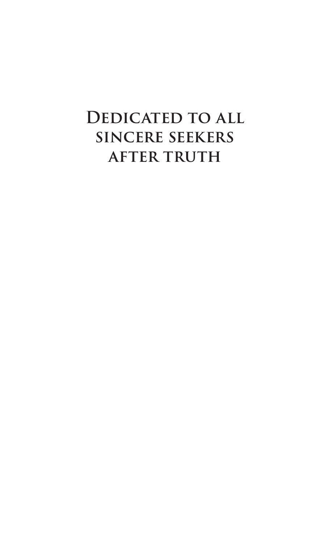# **Dedicated to all sincere seekers after truth**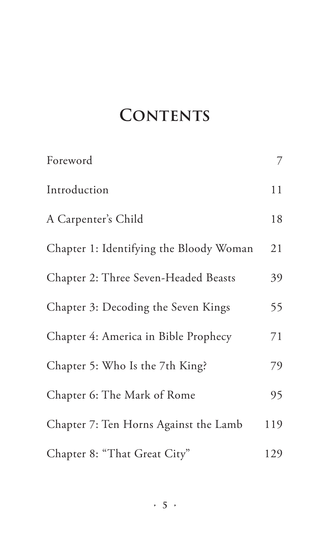# **CONTENTS**

| Foreword                                | 7   |
|-----------------------------------------|-----|
| Introduction                            | 11  |
| A Carpenter's Child                     | 18  |
| Chapter 1: Identifying the Bloody Woman | 21  |
| Chapter 2: Three Seven-Headed Beasts    | 39  |
| Chapter 3: Decoding the Seven Kings     | 55  |
| Chapter 4: America in Bible Prophecy    | 71  |
| Chapter 5: Who Is the 7th King?         | 79  |
| Chapter 6: The Mark of Rome             | 95  |
| Chapter 7: Ten Horns Against the Lamb   | 119 |
| Chapter 8: "That Great City"            | 129 |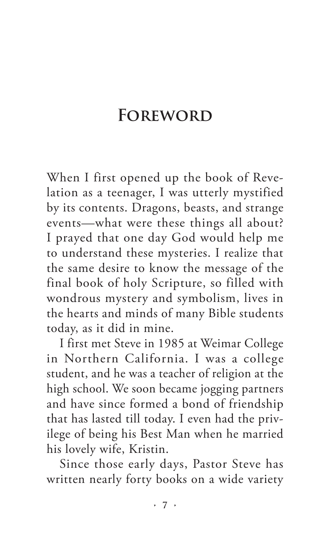# **Foreword**

When I first opened up the book of Revelation as a teenager, I was utterly mystified by its contents. Dragons, beasts, and strange events—what were these things all about? I prayed that one day God would help me to understand these mysteries. I realize that the same desire to know the message of the final book of holy Scripture, so filled with wondrous mystery and symbolism, lives in the hearts and minds of many Bible students today, as it did in mine.

I first met Steve in 1985 at Weimar College in Northern California. I was a college student, and he was a teacher of religion at the high school. We soon became jogging partners and have since formed a bond of friendship that has lasted till today. I even had the privilege of being his Best Man when he married his lovely wife, Kristin.

Since those early days, Pastor Steve has written nearly forty books on a wide variety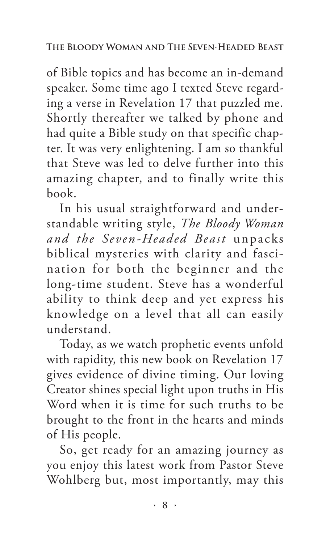of Bible topics and has become an in-demand speaker. Some time ago I texted Steve regarding a verse in Revelation 17 that puzzled me. Shortly thereafter we talked by phone and had quite a Bible study on that specific chapter. It was very enlightening. I am so thankful that Steve was led to delve further into this amazing chapter, and to finally write this book.

In his usual straightforward and understandable writing style, *The Bloody Woman and the Seven-Headed Beast* unpacks biblical mysteries with clarity and fascination for both the beginner and the long-time student. Steve has a wonderful ability to think deep and yet express his knowledge on a level that all can easily understand.

Today, as we watch prophetic events unfold with rapidity, this new book on Revelation 17 gives evidence of divine timing. Our loving Creator shines special light upon truths in His Word when it is time for such truths to be brought to the front in the hearts and minds of His people.

So, get ready for an amazing journey as you enjoy this latest work from Pastor Steve Wohlberg but, most importantly, may this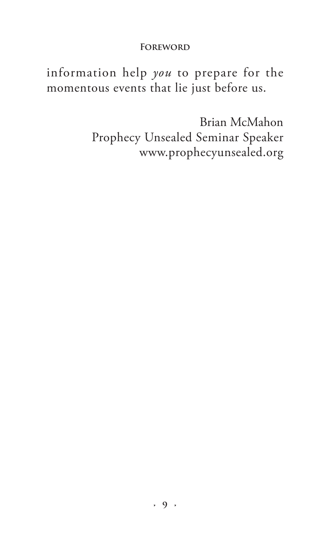#### **Foreword**

information help *you* to prepare for the momentous events that lie just before us.

> Brian McMahon Prophecy Unsealed Seminar Speaker www.prophecyunsealed.org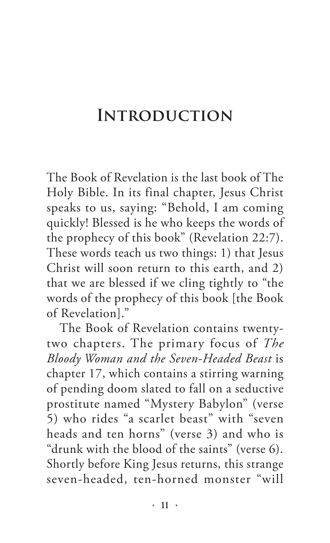## **Introduction**

The Book of Revelation is the last book of The Holy Bible. In its final chapter, Jesus Christ speaks to us, saying: "Behold, I am coming quickly! Blessed is he who keeps the words of the prophecy of this book" (Revelation 22:7). These words teach us two things: 1) that Jesus Christ will soon return to this earth, and 2) that we are blessed if we cling tightly to "the words of the prophecy of this book [the Book of Revelation]."

The Book of Revelation contains twentytwo chapters. The primary focus of *The Bloody Woman and the Seven-Headed Beast* is chapter 17, which contains a stirring warning of pending doom slated to fall on a seductive prostitute named "Mystery Babylon" (verse 5) who rides "a scarlet beast" with "seven heads and ten horns" (verse 3) and who is "drunk with the blood of the saints" (verse 6). Shortly before King Jesus returns, this strange seven-headed, ten-horned monster "will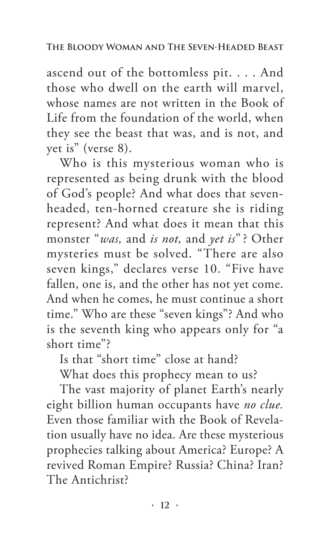ascend out of the bottomless pit. . . . And those who dwell on the earth will marvel, whose names are not written in the Book of Life from the foundation of the world, when they see the beast that was, and is not, and yet is" (verse 8).

Who is this mysterious woman who is represented as being drunk with the blood of God's people? And what does that sevenheaded, ten-horned creature she is riding represent? And what does it mean that this monster "*was,* and *is not,* and *yet is*" ? Other mysteries must be solved. "There are also seven kings," declares verse 10. "Five have fallen, one is, and the other has not yet come. And when he comes, he must continue a short time." Who are these "seven kings"? And who is the seventh king who appears only for "a short time"?

Is that "short time" close at hand?

What does this prophecy mean to us?

The vast majority of planet Earth's nearly eight billion human occupants have *no clue.* Even those familiar with the Book of Revelation usually have no idea. Are these mysterious prophecies talking about America? Europe? A revived Roman Empire? Russia? China? Iran? The Antichrist?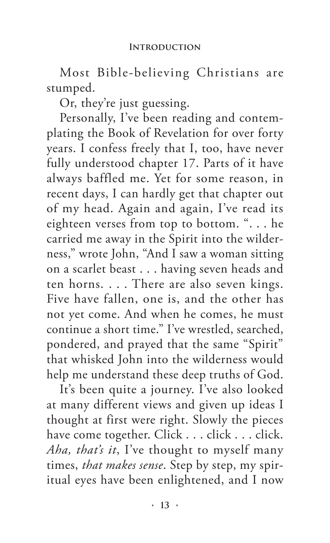Most Bible-believing Christians are stumped.

Or, they're just guessing.

Personally, I've been reading and contemplating the Book of Revelation for over forty years. I confess freely that I, too, have never fully understood chapter 17. Parts of it have always baffled me. Yet for some reason, in recent days, I can hardly get that chapter out of my head. Again and again, I've read its eighteen verses from top to bottom. ". . . he carried me away in the Spirit into the wilderness," wrote John, "And I saw a woman sitting on a scarlet beast . . . having seven heads and ten horns. . . . There are also seven kings. Five have fallen, one is, and the other has not yet come. And when he comes, he must continue a short time." I've wrestled, searched, pondered, and prayed that the same "Spirit" that whisked John into the wilderness would help me understand these deep truths of God.

It's been quite a journey. I've also looked at many different views and given up ideas I thought at first were right. Slowly the pieces have come together. Click . . . click . . . click. *Aha, that's it*, I've thought to myself many times, *that makes sense*. Step by step, my spiritual eyes have been enlightened, and I now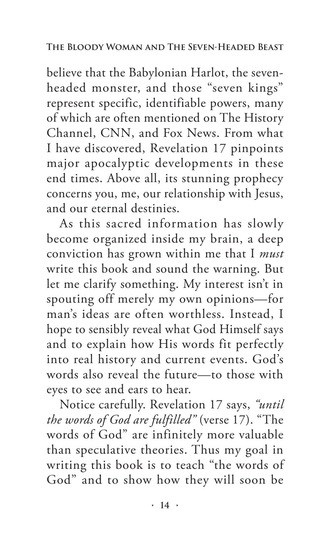believe that the Babylonian Harlot, the sevenheaded monster, and those "seven kings" represent specific, identifiable powers, many of which are often mentioned on The History Channel, CNN, and Fox News. From what I have discovered, Revelation 17 pinpoints major apocalyptic developments in these end times. Above all, its stunning prophecy concerns you, me, our relationship with Jesus, and our eternal destinies.

As this sacred information has slowly become organized inside my brain, a deep conviction has grown within me that I *must* write this book and sound the warning. But let me clarify something. My interest isn't in spouting off merely my own opinions—for man's ideas are often worthless. Instead, I hope to sensibly reveal what God Himself says and to explain how His words fit perfectly into real history and current events. God's words also reveal the future—to those with eyes to see and ears to hear.

Notice carefully. Revelation 17 says, *"until the words of God are fulfilled"* (verse 17). "The words of God" are infinitely more valuable than speculative theories. Thus my goal in writing this book is to teach "the words of God" and to show how they will soon be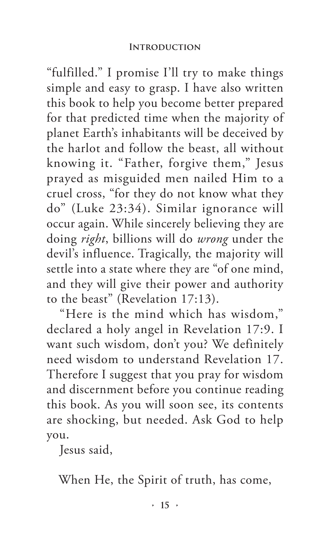"fulfilled." I promise I'll try to make things simple and easy to grasp. I have also written this book to help you become better prepared for that predicted time when the majority of planet Earth's inhabitants will be deceived by the harlot and follow the beast, all without knowing it. "Father, forgive them," Jesus prayed as misguided men nailed Him to a cruel cross, "for they do not know what they do" (Luke 23:34). Similar ignorance will occur again. While sincerely believing they are doing *right*, billions will do *wrong* under the devil's influence. Tragically, the majority will settle into a state where they are "of one mind, and they will give their power and authority to the beast" (Revelation 17:13).

"Here is the mind which has wisdom," declared a holy angel in Revelation 17:9. I want such wisdom, don't you? We definitely need wisdom to understand Revelation 17. Therefore I suggest that you pray for wisdom and discernment before you continue reading this book. As you will soon see, its contents are shocking, but needed. Ask God to help you.

Jesus said,

When He, the Spirit of truth, has come,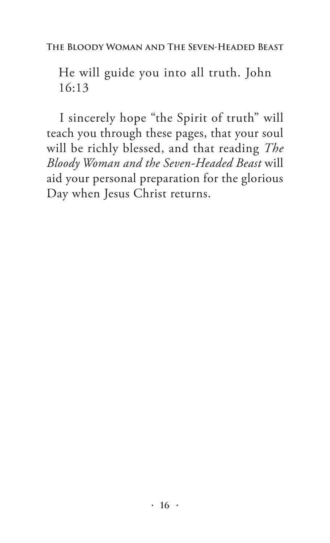**The Bloody Woman and The Seven-Headed Beast**

He will guide you into all truth. John 16:13

I sincerely hope "the Spirit of truth" will teach you through these pages, that your soul will be richly blessed, and that reading *The Bloody Woman and the Seven-Headed Beast* will aid your personal preparation for the glorious Day when Jesus Christ returns.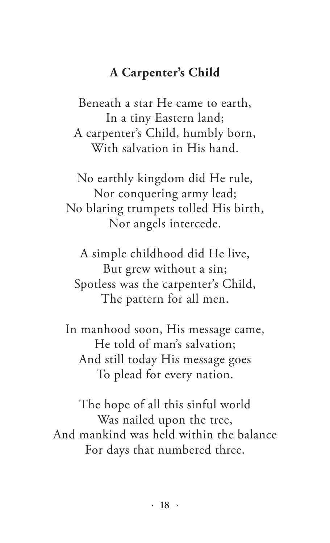## **A Carpenter's Child**

Beneath a star He came to earth, In a tiny Eastern land; A carpenter's Child, humbly born, With salvation in His hand.

No earthly kingdom did He rule, Nor conquering army lead; No blaring trumpets tolled His birth, Nor angels intercede.

A simple childhood did He live, But grew without a sin; Spotless was the carpenter's Child, The pattern for all men.

In manhood soon, His message came, He told of man's salvation; And still today His message goes To plead for every nation.

The hope of all this sinful world Was nailed upon the tree, And mankind was held within the balance For days that numbered three.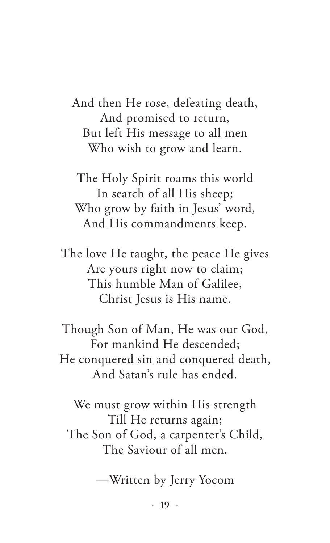And then He rose, defeating death, And promised to return, But left His message to all men Who wish to grow and learn.

The Holy Spirit roams this world In search of all His sheep; Who grow by faith in Jesus' word, And His commandments keep.

The love He taught, the peace He gives Are yours right now to claim; This humble Man of Galilee, Christ Jesus is His name.

Though Son of Man, He was our God, For mankind He descended; He conquered sin and conquered death, And Satan's rule has ended.

We must grow within His strength Till He returns again; The Son of God, a carpenter's Child, The Saviour of all men.

—Written by Jerry Yocom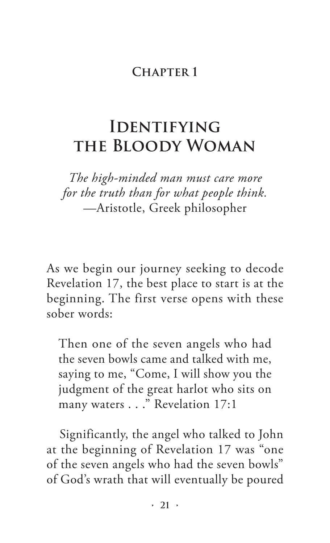## **Chapter 1**

# **Identifying the Bloody Woman**

*The high-minded man must care more for the truth than for what people think.* —Aristotle, Greek philosopher

As we begin our journey seeking to decode Revelation 17, the best place to start is at the beginning. The first verse opens with these sober words:

Then one of the seven angels who had the seven bowls came and talked with me, saying to me, "Come, I will show you the judgment of the great harlot who sits on many waters . . ." Revelation 17:1

Significantly, the angel who talked to John at the beginning of Revelation 17 was "one of the seven angels who had the seven bowls" of God's wrath that will eventually be poured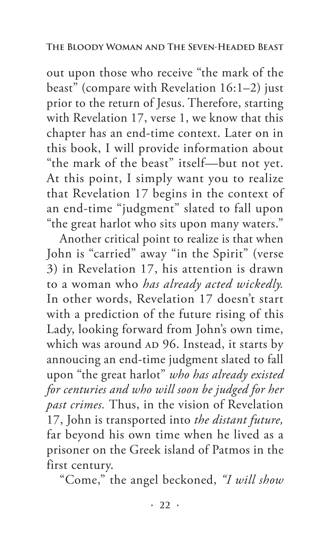out upon those who receive "the mark of the beast" (compare with Revelation 16:1–2) just prior to the return of Jesus. Therefore, starting with Revelation 17, verse 1, we know that this chapter has an end-time context. Later on in this book, I will provide information about "the mark of the beast" itself—but not yet. At this point, I simply want you to realize that Revelation 17 begins in the context of an end-time "judgment" slated to fall upon "the great harlot who sits upon many waters."

Another critical point to realize is that when John is "carried" away "in the Spirit" (verse 3) in Revelation 17, his attention is drawn to a woman who *has already acted wickedly.*  In other words, Revelation 17 doesn't start with a prediction of the future rising of this Lady, looking forward from John's own time, which was around AD 96. Instead, it starts by annoucing an end-time judgment slated to fall upon "the great harlot" *who has already existed for centuries and who will soon be judged for her past crimes.* Thus, in the vision of Revelation 17, John is transported into *the distant future,* far beyond his own time when he lived as a prisoner on the Greek island of Patmos in the first century.

"Come," the angel beckoned, *"I will show*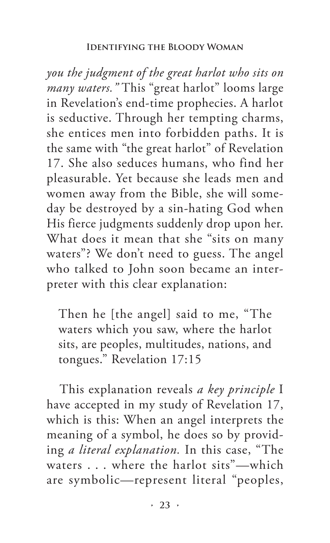#### **Identifying the Bloody Woman**

*you the judgment of the great harlot who sits on many waters."* This "great harlot" looms large in Revelation's end-time prophecies. A harlot is seductive. Through her tempting charms, she entices men into forbidden paths. It is the same with "the great harlot" of Revelation 17. She also seduces humans, who find her pleasurable. Yet because she leads men and women away from the Bible, she will someday be destroyed by a sin-hating God when His fierce judgments suddenly drop upon her. What does it mean that she "sits on many waters"? We don't need to guess. The angel who talked to John soon became an interpreter with this clear explanation:

Then he [the angel] said to me, "The waters which you saw, where the harlot sits, are peoples, multitudes, nations, and tongues." Revelation 17:15

This explanation reveals *a key principle* I have accepted in my study of Revelation 17, which is this: When an angel interprets the meaning of a symbol, he does so by providing *a literal explanation.* In this case, "The waters . . . where the harlot sits"—which are symbolic—represent literal "peoples,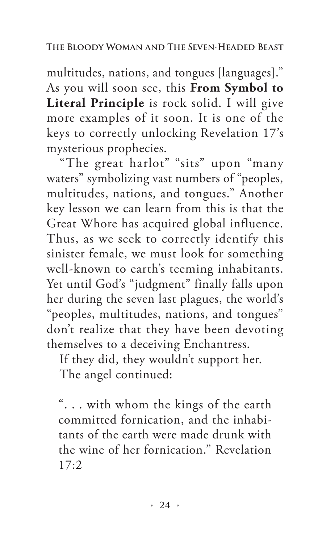multitudes, nations, and tongues [languages]." As you will soon see, this **From Symbol to Literal Principle** is rock solid. I will give more examples of it soon. It is one of the keys to correctly unlocking Revelation 17's mysterious prophecies.

"The great harlot" "sits" upon "many waters" symbolizing vast numbers of "peoples, multitudes, nations, and tongues." Another key lesson we can learn from this is that the Great Whore has acquired global influence. Thus, as we seek to correctly identify this sinister female, we must look for something well-known to earth's teeming inhabitants. Yet until God's "judgment" finally falls upon her during the seven last plagues, the world's "peoples, multitudes, nations, and tongues" don't realize that they have been devoting themselves to a deceiving Enchantress.

If they did, they wouldn't support her. The angel continued:

". . . with whom the kings of the earth committed fornication, and the inhabitants of the earth were made drunk with the wine of her fornication." Revelation 17:2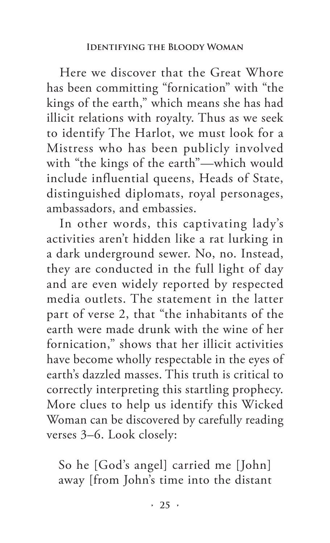Here we discover that the Great Whore has been committing "fornication" with "the kings of the earth," which means she has had illicit relations with royalty. Thus as we seek to identify The Harlot, we must look for a Mistress who has been publicly involved with "the kings of the earth"—which would include influential queens, Heads of State, distinguished diplomats, royal personages, ambassadors, and embassies.

In other words, this captivating lady's activities aren't hidden like a rat lurking in a dark underground sewer. No, no. Instead, they are conducted in the full light of day and are even widely reported by respected media outlets. The statement in the latter part of verse 2, that "the inhabitants of the earth were made drunk with the wine of her fornication," shows that her illicit activities have become wholly respectable in the eyes of earth's dazzled masses. This truth is critical to correctly interpreting this startling prophecy. More clues to help us identify this Wicked Woman can be discovered by carefully reading verses 3–6. Look closely:

So he [God's angel] carried me [John] away [from John's time into the distant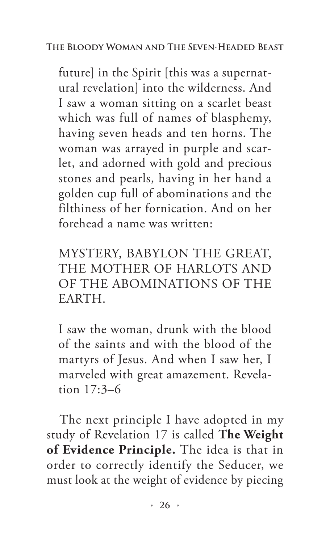## **The Bloody Woman and The Seven-Headed Beast**

future] in the Spirit [this was a supernatural revelation] into the wilderness. And I saw a woman sitting on a scarlet beast which was full of names of blasphemy, having seven heads and ten horns. The woman was arrayed in purple and scarlet, and adorned with gold and precious stones and pearls, having in her hand a golden cup full of abominations and the filthiness of her fornication. And on her forehead a name was written:

MYSTERY, BABYLON THE GREAT, THE MOTHER OF HARLOTS AND OF THE ABOMINATIONS OF THE EARTH.

I saw the woman, drunk with the blood of the saints and with the blood of the martyrs of Jesus. And when I saw her, I marveled with great amazement. Revelation 17:3–6

The next principle I have adopted in my study of Revelation 17 is called **The Weight of Evidence Principle.** The idea is that in order to correctly identify the Seducer, we must look at the weight of evidence by piecing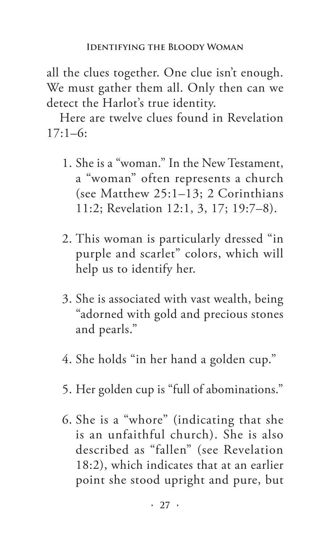all the clues together. One clue isn't enough. We must gather them all. Only then can we detect the Harlot's true identity.

Here are twelve clues found in Revelation  $17:1-6:$ 

- 1. She is a "woman." In the New Testament, a "woman" often represents a church (see Matthew 25:1–13; 2 Corinthians 11:2; Revelation 12:1, 3, 17; 19:7–8).
- 2. This woman is particularly dressed "in purple and scarlet" colors, which will help us to identify her.
- 3. She is associated with vast wealth, being "adorned with gold and precious stones and pearls."
- 4. She holds "in her hand a golden cup."
- 5. Her golden cup is "full of abominations."
- 6. She is a "whore" (indicating that she is an unfaithful church). She is also described as "fallen" (see Revelation 18:2), which indicates that at an earlier point she stood upright and pure, but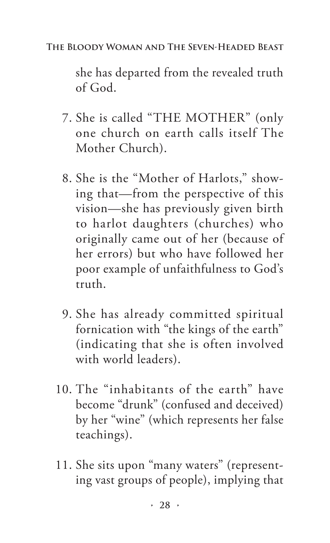### **The Bloody Woman and The Seven-Headed Beast**

she has departed from the revealed truth of God.

- 7. She is called "THE MOTHER" (only one church on earth calls itself The Mother Church).
- 8. She is the "Mother of Harlots," showing that—from the perspective of this vision—she has previously given birth to harlot daughters (churches) who originally came out of her (because of her errors) but who have followed her poor example of unfaithfulness to God's truth.
- 9. She has already committed spiritual fornication with "the kings of the earth" (indicating that she is often involved with world leaders).
- 10. The "inhabitants of the earth" have become "drunk" (confused and deceived) by her "wine" (which represents her false teachings).
- 11. She sits upon "many waters" (representing vast groups of people), implying that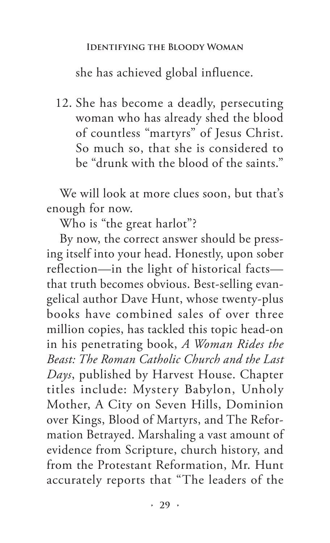she has achieved global influence.

12. She has become a deadly, persecuting woman who has already shed the blood of countless "martyrs" of Jesus Christ. So much so, that she is considered to be "drunk with the blood of the saints."

We will look at more clues soon, but that's enough for now.

Who is "the great harlot"?

By now, the correct answer should be pressing itself into your head. Honestly, upon sober reflection—in the light of historical facts that truth becomes obvious. Best-selling evangelical author Dave Hunt, whose twenty-plus books have combined sales of over three million copies, has tackled this topic head-on in his penetrating book, *A Woman Rides the Beast: The Roman Catholic Church and the Last Days*, published by Harvest House. Chapter titles include: Mystery Babylon, Unholy Mother, A City on Seven Hills, Dominion over Kings, Blood of Martyrs, and The Reformation Betrayed. Marshaling a vast amount of evidence from Scripture, church history, and from the Protestant Reformation, Mr. Hunt accurately reports that "The leaders of the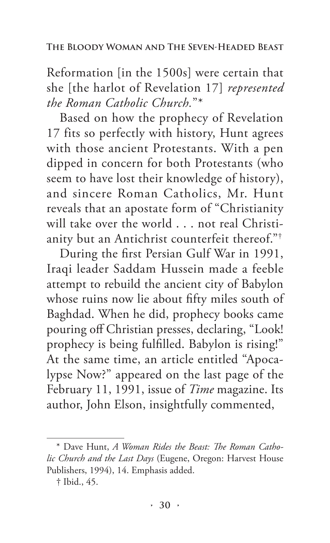Reformation [in the 1500s] were certain that she [the harlot of Revelation 17] *represented the Roman Catholic Church.*"\*

Based on how the prophecy of Revelation 17 fits so perfectly with history, Hunt agrees with those ancient Protestants. With a pen dipped in concern for both Protestants (who seem to have lost their knowledge of history), and sincere Roman Catholics, Mr. Hunt reveals that an apostate form of "Christianity will take over the world . . . not real Christianity but an Antichrist counterfeit thereof."<sup>†</sup>

During the first Persian Gulf War in 1991, Iraqi leader Saddam Hussein made a feeble attempt to rebuild the ancient city of Babylon whose ruins now lie about fifty miles south of Baghdad. When he did, prophecy books came pouring off Christian presses, declaring, "Look! prophecy is being fulfilled. Babylon is rising!" At the same time, an article entitled "Apocalypse Now?" appeared on the last page of the February 11, 1991, issue of *Time* magazine. Its author, John Elson, insightfully commented,

<sup>\*</sup> Dave Hunt, *A Woman Rides the Beast: The Roman Catholic Church and the Last Days* (Eugene, Oregon: Harvest House Publishers, 1994), 14. Emphasis added.

<sup>†</sup> Ibid., 45.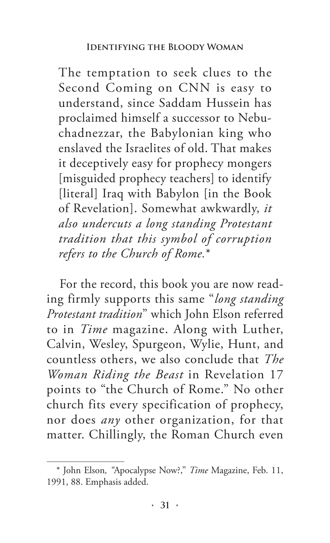The temptation to seek clues to the Second Coming on CNN is easy to understand, since Saddam Hussein has proclaimed himself a successor to Nebuchadnezzar, the Babylonian king who enslaved the Israelites of old. That makes it deceptively easy for prophecy mongers [misguided prophecy teachers] to identify [literal] Iraq with Babylon [in the Book of Revelation]. Somewhat awkwardly, *it also undercuts a long standing Protestant tradition that this symbol of corruption refers to the Church of Rome.*\*

For the record, this book you are now reading firmly supports this same "*long standing Protestant tradition*" which John Elson referred to in *Time* magazine. Along with Luther, Calvin, Wesley, Spurgeon, Wylie, Hunt, and countless others, we also conclude that *The Woman Riding the Beast* in Revelation 17 points to "the Church of Rome." No other church fits every specification of prophecy, nor does *any* other organization, for that matter. Chillingly, the Roman Church even

<sup>\*</sup> John Elson*, "*Apocalypse Now?," *Time* Magazine, Feb. 11, 1991, 88. Emphasis added.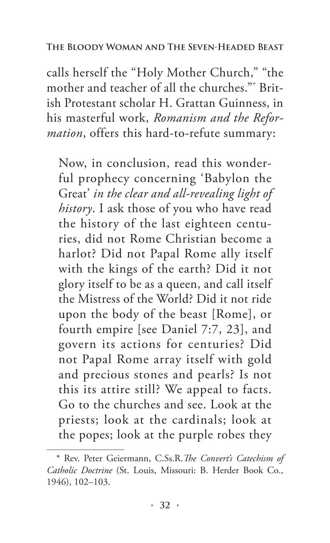calls herself the "Holy Mother Church," "the mother and teacher of all the churches."\* British Protestant scholar H. Grattan Guinness, in his masterful work, *Romanism and the Reformation*, offers this hard-to-refute summary:

Now, in conclusion, read this wonderful prophecy concerning 'Babylon the Great' *in the clear and all-revealing light of history*. I ask those of you who have read the history of the last eighteen centuries, did not Rome Christian become a harlot? Did not Papal Rome ally itself with the kings of the earth? Did it not glory itself to be as a queen, and call itself the Mistress of the World? Did it not ride upon the body of the beast [Rome], or fourth empire [see Daniel 7:7, 23], and govern its actions for centuries? Did not Papal Rome array itself with gold and precious stones and pearls? Is not this its attire still? We appeal to facts. Go to the churches and see. Look at the priests; look at the cardinals; look at the popes; look at the purple robes they

<sup>\*</sup> Rev. Peter Geiermann, C.Ss.R.*The Convert's Catechism of Catholic Doctrine* (St. Louis, Missouri: B. Herder Book Co., 1946), 102–103.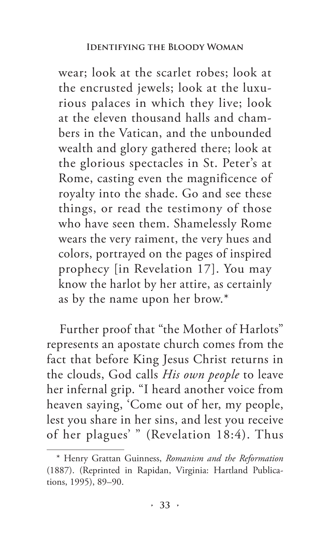wear; look at the scarlet robes; look at the encrusted jewels; look at the luxurious palaces in which they live; look at the eleven thousand halls and chambers in the Vatican, and the unbounded wealth and glory gathered there; look at the glorious spectacles in St. Peter's at Rome, casting even the magnificence of royalty into the shade. Go and see these things, or read the testimony of those who have seen them. Shamelessly Rome wears the very raiment, the very hues and colors, portrayed on the pages of inspired prophecy [in Revelation 17]. You may know the harlot by her attire, as certainly as by the name upon her brow.\*

Further proof that "the Mother of Harlots" represents an apostate church comes from the fact that before King Jesus Christ returns in the clouds, God calls *His own people* to leave her infernal grip. "I heard another voice from heaven saying, 'Come out of her, my people, lest you share in her sins, and lest you receive of her plagues' " (Revelation 18:4). Thus

<sup>\*</sup> Henry Grattan Guinness, *Romanism and the Reformation*  (1887). (Reprinted in Rapidan, Virginia: Hartland Publications, 1995), 89–90.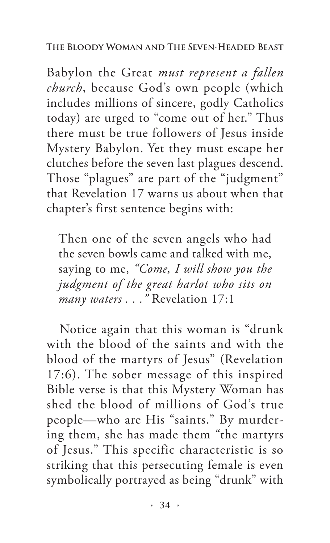### **The Bloody Woman and The Seven-Headed Beast**

Babylon the Great *must represent a fallen church*, because God's own people (which includes millions of sincere, godly Catholics today) are urged to "come out of her." Thus there must be true followers of Jesus inside Mystery Babylon. Yet they must escape her clutches before the seven last plagues descend. Those "plagues" are part of the "judgment" that Revelation 17 warns us about when that chapter's first sentence begins with:

Then one of the seven angels who had the seven bowls came and talked with me, saying to me, *"Come, I will show you the judgment of the great harlot who sits on many waters . . ."* Revelation 17:1

Notice again that this woman is "drunk with the blood of the saints and with the blood of the martyrs of Jesus" (Revelation 17:6). The sober message of this inspired Bible verse is that this Mystery Woman has shed the blood of millions of God's true people—who are His "saints." By murdering them, she has made them "the martyrs of Jesus." This specific characteristic is so striking that this persecuting female is even symbolically portrayed as being "drunk" with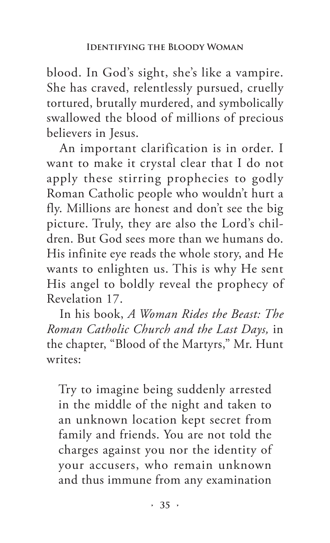blood. In God's sight, she's like a vampire. She has craved, relentlessly pursued, cruelly tortured, brutally murdered, and symbolically swallowed the blood of millions of precious believers in Jesus.

An important clarification is in order. I want to make it crystal clear that I do not apply these stirring prophecies to godly Roman Catholic people who wouldn't hurt a fly. Millions are honest and don't see the big picture. Truly, they are also the Lord's children. But God sees more than we humans do. His infinite eye reads the whole story, and He wants to enlighten us. This is why He sent His angel to boldly reveal the prophecy of Revelation 17.

In his book, *A Woman Rides the Beast: The Roman Catholic Church and the Last Days,* in the chapter, "Blood of the Martyrs," Mr. Hunt writes:

Try to imagine being suddenly arrested in the middle of the night and taken to an unknown location kept secret from family and friends. You are not told the charges against you nor the identity of your accusers, who remain unknown and thus immune from any examination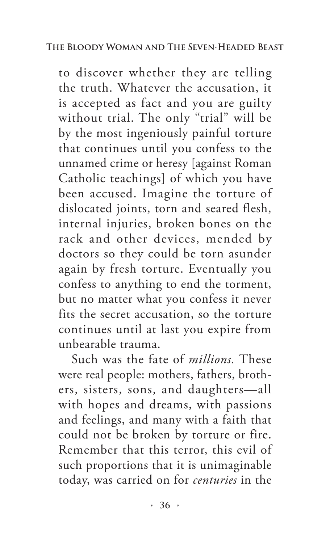to discover whether they are telling the truth. Whatever the accusation, it is accepted as fact and you are guilty without trial. The only "trial" will be by the most ingeniously painful torture that continues until you confess to the unnamed crime or heresy [against Roman Catholic teachings] of which you have been accused. Imagine the torture of dislocated joints, torn and seared flesh, internal injuries, broken bones on the rack and other devices, mended by doctors so they could be torn asunder again by fresh torture. Eventually you confess to anything to end the torment, but no matter what you confess it never fits the secret accusation, so the torture continues until at last you expire from unbearable trauma.

Such was the fate of *millions.* These were real people: mothers, fathers, brothers, sisters, sons, and daughters—all with hopes and dreams, with passions and feelings, and many with a faith that could not be broken by torture or fire. Remember that this terror, this evil of such proportions that it is unimaginable today, was carried on for *centuries* in the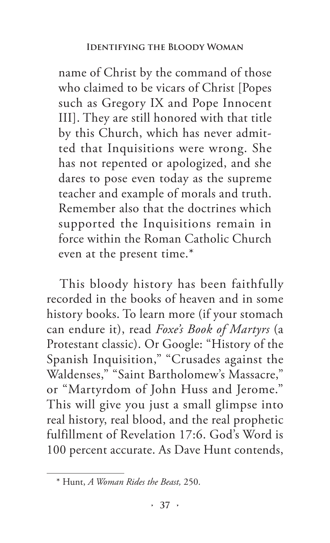name of Christ by the command of those who claimed to be vicars of Christ [Popes such as Gregory IX and Pope Innocent III]. They are still honored with that title by this Church, which has never admitted that Inquisitions were wrong. She has not repented or apologized, and she dares to pose even today as the supreme teacher and example of morals and truth. Remember also that the doctrines which supported the Inquisitions remain in force within the Roman Catholic Church even at the present time.\*

This bloody history has been faithfully recorded in the books of heaven and in some history books. To learn more (if your stomach can endure it), read *Foxe's Book of Martyrs* (a Protestant classic). Or Google: "History of the Spanish Inquisition," "Crusades against the Waldenses," "Saint Bartholomew's Massacre," or "Martyrdom of John Huss and Jerome." This will give you just a small glimpse into real history, real blood, and the real prophetic fulfillment of Revelation 17:6. God's Word is 100 percent accurate. As Dave Hunt contends,

<sup>\*</sup> Hunt, *A Woman Rides the Beast,* 250.